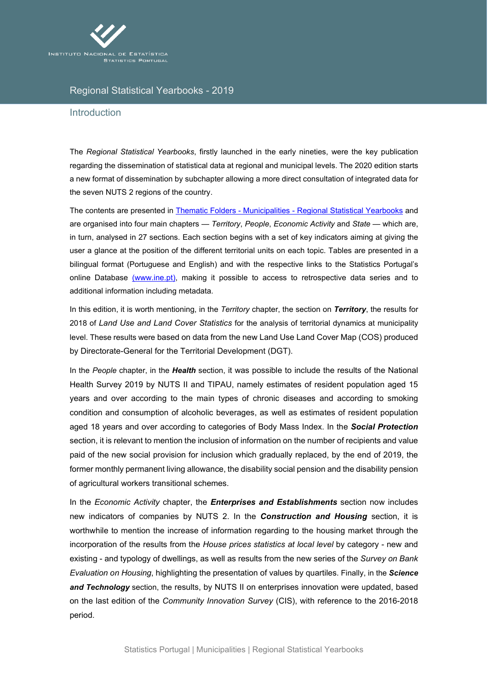

## Regional Statistical Yearbooks - 2019

## Introduction

The *Regional Statistical Yearbooks*, firstly launched in the early nineties, were the key publication regarding the dissemination of statistical data at regional and municipal levels. The 2020 edition starts a new format of dissemination by subchapter allowing a more direct consultation of integrated data for the seven NUTS 2 regions of the country.

The contents are presented in Thematic Folders - Municipalities - [Regional Statistical Yearbooks](https://ine.pt/xportal/xmain?xpid=INE&xpgid=ine_doc_municipios&xlang=en) and are organised into four main chapters — *Territory*, *People*, *Economic Activity* and *State* — which are, in turn, analysed in 27 sections. Each section begins with a set of key indicators aiming at giving the user a glance at the position of the different territorial units on each topic. Tables are presented in a bilingual format (Portuguese and English) and with the respective links to the Statistics Portugal's online Database (www.ine.pt), making it possible to access to retrospective data series and to additional information including metadata.

In this edition, it is worth mentioning, in the *Territory* chapter, the section on *Territory*, the results for 2018 of *Land Use and Land Cover Statistics* for the analysis of territorial dynamics at municipality level. These results were based on data from the new Land Use Land Cover Map (COS) produced by Directorate-General for the Territorial Development (DGT).

In the *People* chapter, in the *Health* section, it was possible to include the results of the National Health Survey 2019 by NUTS II and TIPAU, namely estimates of resident population aged 15 years and over according to the main types of chronic diseases and according to smoking condition and consumption of alcoholic beverages, as well as estimates of resident population aged 18 years and over according to categories of Body Mass Index. In the *Social Protection* section, it is relevant to mention the inclusion of information on the number of recipients and value paid of the new social provision for inclusion which gradually replaced, by the end of 2019, the former monthly permanent living allowance, the disability social pension and the disability pension of agricultural workers transitional schemes.

In the *Economic Activity* chapter, the *Enterprises and Establishments* section now includes new indicators of companies by NUTS 2. In the *Construction and Housing* section, it is worthwhile to mention the increase of information regarding to the housing market through the incorporation of the results from the *House prices statistics at local level* by category - new and existing - and typology of dwellings, as well as results from the new series of the *Survey on Bank Evaluation on Housing*, highlighting the presentation of values by quartiles. Finally, in the *Science and Technology* section, the results, by NUTS II on enterprises innovation were updated, based on the last edition of the *Community Innovation Survey* (CIS), with reference to the 2016-2018 period.